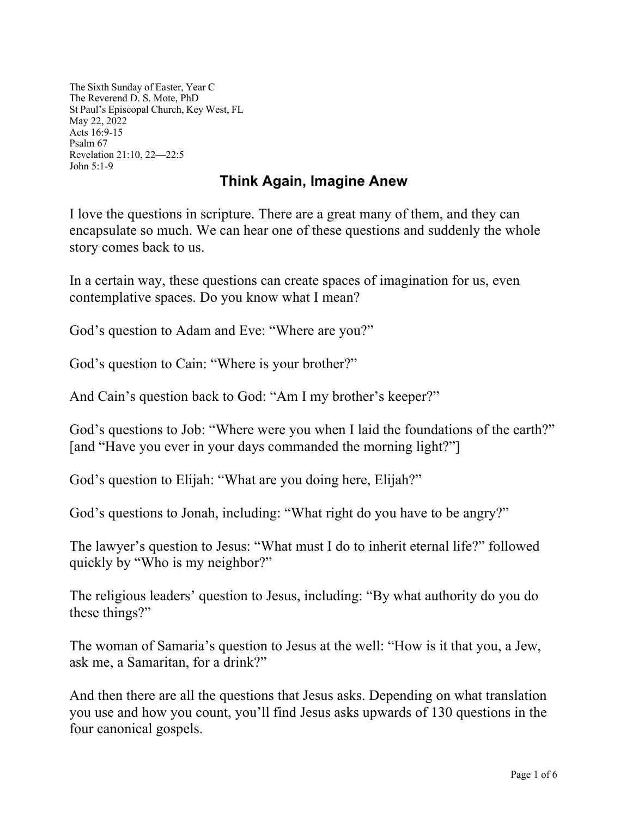The Sixth Sunday of Easter, Year C The Reverend D. S. Mote, PhD St Paul's Episcopal Church, Key West, FL May 22, 2022 Acts 16:9-15 Psalm 67 Revelation 21:10, 22—22:5 John 5:1-9

## **Think Again, Imagine Anew**

I love the questions in scripture. There are a great many of them, and they can encapsulate so much. We can hear one of these questions and suddenly the whole story comes back to us.

In a certain way, these questions can create spaces of imagination for us, even contemplative spaces. Do you know what I mean?

God's question to Adam and Eve: "Where are you?"

God's question to Cain: "Where is your brother?"

And Cain's question back to God: "Am I my brother's keeper?"

God's questions to Job: "Where were you when I laid the foundations of the earth?" [and "Have you ever in your days commanded the morning light?"]

God's question to Elijah: "What are you doing here, Elijah?"

God's questions to Jonah, including: "What right do you have to be angry?"

The lawyer's question to Jesus: "What must I do to inherit eternal life?" followed quickly by "Who is my neighbor?"

The religious leaders' question to Jesus, including: "By what authority do you do these things?"

The woman of Samaria's question to Jesus at the well: "How is it that you, a Jew, ask me, a Samaritan, for a drink?"

And then there are all the questions that Jesus asks. Depending on what translation you use and how you count, you'll find Jesus asks upwards of 130 questions in the four canonical gospels.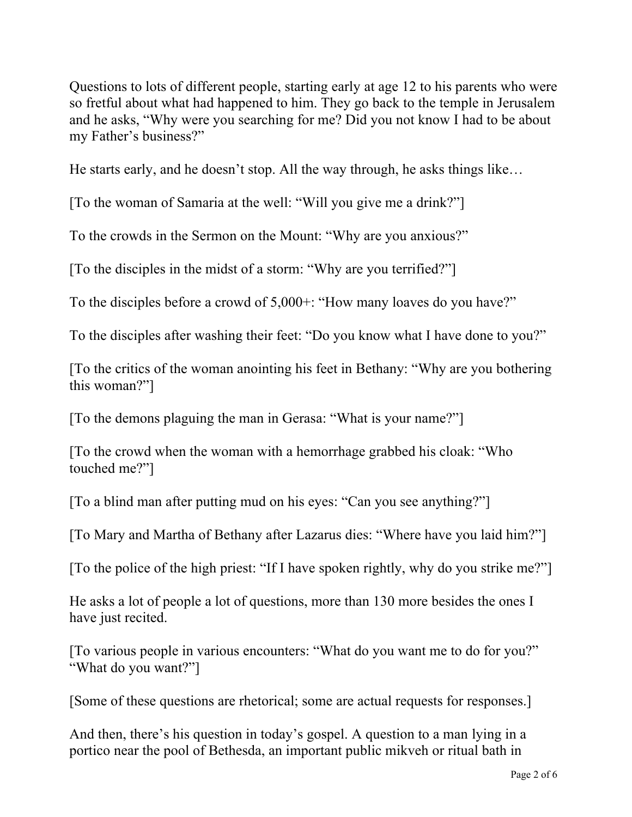Questions to lots of different people, starting early at age 12 to his parents who were so fretful about what had happened to him. They go back to the temple in Jerusalem and he asks, "Why were you searching for me? Did you not know I had to be about my Father's business?"

He starts early, and he doesn't stop. All the way through, he asks things like…

[To the woman of Samaria at the well: "Will you give me a drink?"]

To the crowds in the Sermon on the Mount: "Why are you anxious?"

[To the disciples in the midst of a storm: "Why are you terrified?"]

To the disciples before a crowd of 5,000+: "How many loaves do you have?"

To the disciples after washing their feet: "Do you know what I have done to you?"

[To the critics of the woman anointing his feet in Bethany: "Why are you bothering this woman?"]

[To the demons plaguing the man in Gerasa: "What is your name?"]

[To the crowd when the woman with a hemorrhage grabbed his cloak: "Who touched me?"]

[To a blind man after putting mud on his eyes: "Can you see anything?"]

[To Mary and Martha of Bethany after Lazarus dies: "Where have you laid him?"]

[To the police of the high priest: "If I have spoken rightly, why do you strike me?"]

He asks a lot of people a lot of questions, more than 130 more besides the ones I have just recited.

[To various people in various encounters: "What do you want me to do for you?" "What do you want?"]

[Some of these questions are rhetorical; some are actual requests for responses.]

And then, there's his question in today's gospel. A question to a man lying in a portico near the pool of Bethesda, an important public mikveh or ritual bath in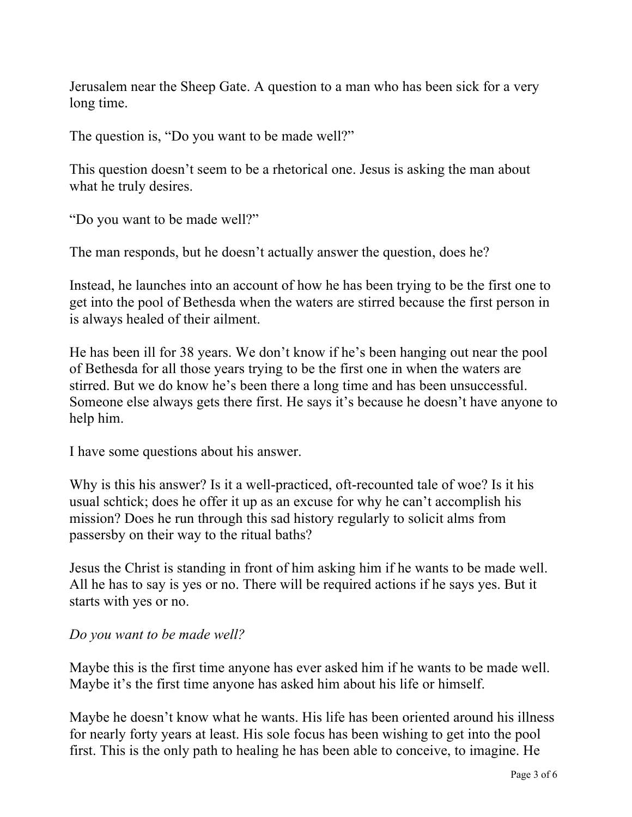Jerusalem near the Sheep Gate. A question to a man who has been sick for a very long time.

The question is, "Do you want to be made well?"

This question doesn't seem to be a rhetorical one. Jesus is asking the man about what he truly desires.

"Do you want to be made well?"

The man responds, but he doesn't actually answer the question, does he?

Instead, he launches into an account of how he has been trying to be the first one to get into the pool of Bethesda when the waters are stirred because the first person in is always healed of their ailment.

He has been ill for 38 years. We don't know if he's been hanging out near the pool of Bethesda for all those years trying to be the first one in when the waters are stirred. But we do know he's been there a long time and has been unsuccessful. Someone else always gets there first. He says it's because he doesn't have anyone to help him.

I have some questions about his answer.

Why is this his answer? Is it a well-practiced, oft-recounted tale of woe? Is it his usual schtick; does he offer it up as an excuse for why he can't accomplish his mission? Does he run through this sad history regularly to solicit alms from passersby on their way to the ritual baths?

Jesus the Christ is standing in front of him asking him if he wants to be made well. All he has to say is yes or no. There will be required actions if he says yes. But it starts with yes or no.

## *Do you want to be made well?*

Maybe this is the first time anyone has ever asked him if he wants to be made well. Maybe it's the first time anyone has asked him about his life or himself.

Maybe he doesn't know what he wants. His life has been oriented around his illness for nearly forty years at least. His sole focus has been wishing to get into the pool first. This is the only path to healing he has been able to conceive, to imagine. He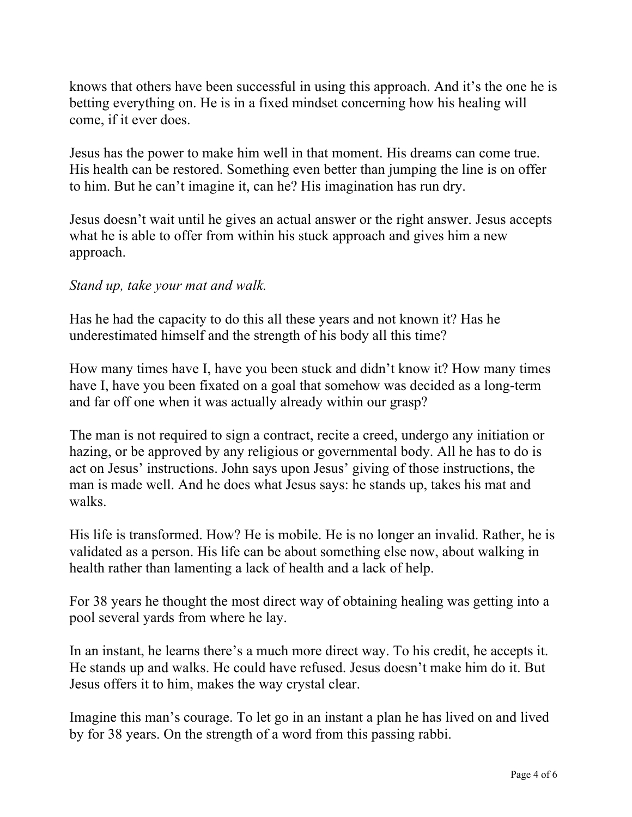knows that others have been successful in using this approach. And it's the one he is betting everything on. He is in a fixed mindset concerning how his healing will come, if it ever does.

Jesus has the power to make him well in that moment. His dreams can come true. His health can be restored. Something even better than jumping the line is on offer to him. But he can't imagine it, can he? His imagination has run dry.

Jesus doesn't wait until he gives an actual answer or the right answer. Jesus accepts what he is able to offer from within his stuck approach and gives him a new approach.

## *Stand up, take your mat and walk.*

Has he had the capacity to do this all these years and not known it? Has he underestimated himself and the strength of his body all this time?

How many times have I, have you been stuck and didn't know it? How many times have I, have you been fixated on a goal that somehow was decided as a long-term and far off one when it was actually already within our grasp?

The man is not required to sign a contract, recite a creed, undergo any initiation or hazing, or be approved by any religious or governmental body. All he has to do is act on Jesus' instructions. John says upon Jesus' giving of those instructions, the man is made well. And he does what Jesus says: he stands up, takes his mat and walks.

His life is transformed. How? He is mobile. He is no longer an invalid. Rather, he is validated as a person. His life can be about something else now, about walking in health rather than lamenting a lack of health and a lack of help.

For 38 years he thought the most direct way of obtaining healing was getting into a pool several yards from where he lay.

In an instant, he learns there's a much more direct way. To his credit, he accepts it. He stands up and walks. He could have refused. Jesus doesn't make him do it. But Jesus offers it to him, makes the way crystal clear.

Imagine this man's courage. To let go in an instant a plan he has lived on and lived by for 38 years. On the strength of a word from this passing rabbi.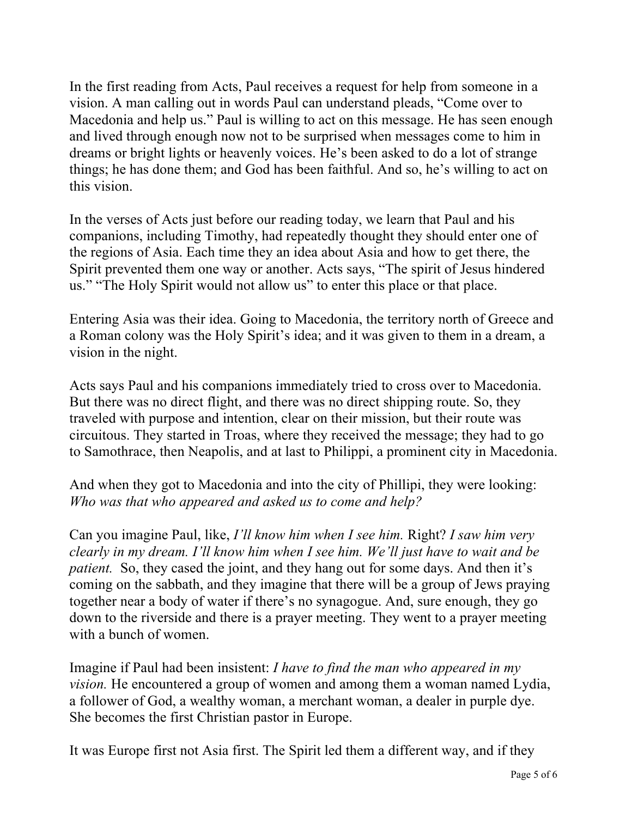In the first reading from Acts, Paul receives a request for help from someone in a vision. A man calling out in words Paul can understand pleads, "Come over to Macedonia and help us." Paul is willing to act on this message. He has seen enough and lived through enough now not to be surprised when messages come to him in dreams or bright lights or heavenly voices. He's been asked to do a lot of strange things; he has done them; and God has been faithful. And so, he's willing to act on this vision.

In the verses of Acts just before our reading today, we learn that Paul and his companions, including Timothy, had repeatedly thought they should enter one of the regions of Asia. Each time they an idea about Asia and how to get there, the Spirit prevented them one way or another. Acts says, "The spirit of Jesus hindered us." "The Holy Spirit would not allow us" to enter this place or that place.

Entering Asia was their idea. Going to Macedonia, the territory north of Greece and a Roman colony was the Holy Spirit's idea; and it was given to them in a dream, a vision in the night.

Acts says Paul and his companions immediately tried to cross over to Macedonia. But there was no direct flight, and there was no direct shipping route. So, they traveled with purpose and intention, clear on their mission, but their route was circuitous. They started in Troas, where they received the message; they had to go to Samothrace, then Neapolis, and at last to Philippi, a prominent city in Macedonia.

And when they got to Macedonia and into the city of Phillipi, they were looking: *Who was that who appeared and asked us to come and help?*

Can you imagine Paul, like, *I'll know him when I see him.* Right? *I saw him very clearly in my dream. I'll know him when I see him. We'll just have to wait and be patient.* So, they cased the joint, and they hang out for some days. And then it's coming on the sabbath, and they imagine that there will be a group of Jews praying together near a body of water if there's no synagogue. And, sure enough, they go down to the riverside and there is a prayer meeting. They went to a prayer meeting with a bunch of women.

Imagine if Paul had been insistent: *I have to find the man who appeared in my vision.* He encountered a group of women and among them a woman named Lydia, a follower of God, a wealthy woman, a merchant woman, a dealer in purple dye. She becomes the first Christian pastor in Europe.

It was Europe first not Asia first. The Spirit led them a different way, and if they